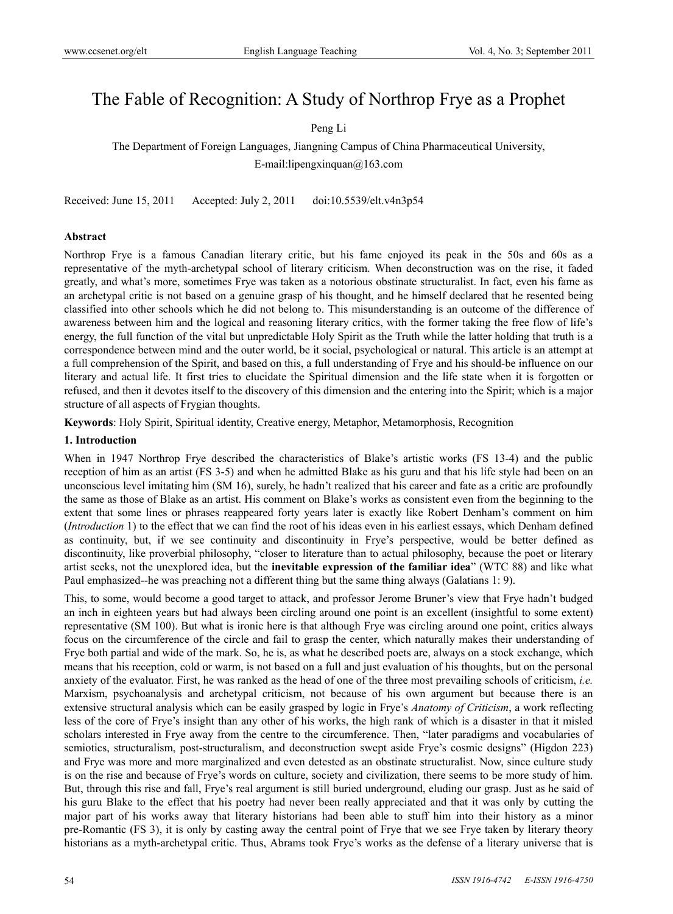# The Fable of Recognition: A Study of Northrop Frye as a Prophet

Peng Li

The Department of Foreign Languages, Jiangning Campus of China Pharmaceutical University,

E-mail:lipengxinquan@163.com

Received: June 15, 2011 Accepted: July 2, 2011 doi:10.5539/elt.v4n3p54

### **Abstract**

Northrop Frye is a famous Canadian literary critic, but his fame enjoyed its peak in the 50s and 60s as a representative of the myth-archetypal school of literary criticism. When deconstruction was on the rise, it faded greatly, and what's more, sometimes Frye was taken as a notorious obstinate structuralist. In fact, even his fame as an archetypal critic is not based on a genuine grasp of his thought, and he himself declared that he resented being classified into other schools which he did not belong to. This misunderstanding is an outcome of the difference of awareness between him and the logical and reasoning literary critics, with the former taking the free flow of life's energy, the full function of the vital but unpredictable Holy Spirit as the Truth while the latter holding that truth is a correspondence between mind and the outer world, be it social, psychological or natural. This article is an attempt at a full comprehension of the Spirit, and based on this, a full understanding of Frye and his should-be influence on our literary and actual life. It first tries to elucidate the Spiritual dimension and the life state when it is forgotten or refused, and then it devotes itself to the discovery of this dimension and the entering into the Spirit; which is a major structure of all aspects of Frygian thoughts.

**Keywords**: Holy Spirit, Spiritual identity, Creative energy, Metaphor, Metamorphosis, Recognition

## **1. Introduction**

When in 1947 Northrop Frye described the characteristics of Blake's artistic works (FS 13-4) and the public reception of him as an artist (FS 3-5) and when he admitted Blake as his guru and that his life style had been on an unconscious level imitating him (SM 16), surely, he hadn't realized that his career and fate as a critic are profoundly the same as those of Blake as an artist. His comment on Blake's works as consistent even from the beginning to the extent that some lines or phrases reappeared forty years later is exactly like Robert Denham's comment on him (*Introduction* 1) to the effect that we can find the root of his ideas even in his earliest essays, which Denham defined as continuity, but, if we see continuity and discontinuity in Frye's perspective, would be better defined as discontinuity, like proverbial philosophy, "closer to literature than to actual philosophy, because the poet or literary artist seeks, not the unexplored idea, but the **inevitable expression of the familiar idea**" (WTC 88) and like what Paul emphasized--he was preaching not a different thing but the same thing always (Galatians 1: 9).

This, to some, would become a good target to attack, and professor Jerome Bruner's view that Frye hadn't budged an inch in eighteen years but had always been circling around one point is an excellent (insightful to some extent) representative (SM 100). But what is ironic here is that although Frye was circling around one point, critics always focus on the circumference of the circle and fail to grasp the center, which naturally makes their understanding of Frye both partial and wide of the mark. So, he is, as what he described poets are, always on a stock exchange, which means that his reception, cold or warm, is not based on a full and just evaluation of his thoughts, but on the personal anxiety of the evaluator. First, he was ranked as the head of one of the three most prevailing schools of criticism, *i.e.* Marxism, psychoanalysis and archetypal criticism, not because of his own argument but because there is an extensive structural analysis which can be easily grasped by logic in Frye's *Anatomy of Criticism*, a work reflecting less of the core of Frye's insight than any other of his works, the high rank of which is a disaster in that it misled scholars interested in Frye away from the centre to the circumference. Then, "later paradigms and vocabularies of semiotics, structuralism, post-structuralism, and deconstruction swept aside Frye's cosmic designs" (Higdon 223) and Frye was more and more marginalized and even detested as an obstinate structuralist. Now, since culture study is on the rise and because of Frye's words on culture, society and civilization, there seems to be more study of him. But, through this rise and fall, Frye's real argument is still buried underground, eluding our grasp. Just as he said of his guru Blake to the effect that his poetry had never been really appreciated and that it was only by cutting the major part of his works away that literary historians had been able to stuff him into their history as a minor pre-Romantic (FS 3), it is only by casting away the central point of Frye that we see Frye taken by literary theory historians as a myth-archetypal critic. Thus, Abrams took Frye's works as the defense of a literary universe that is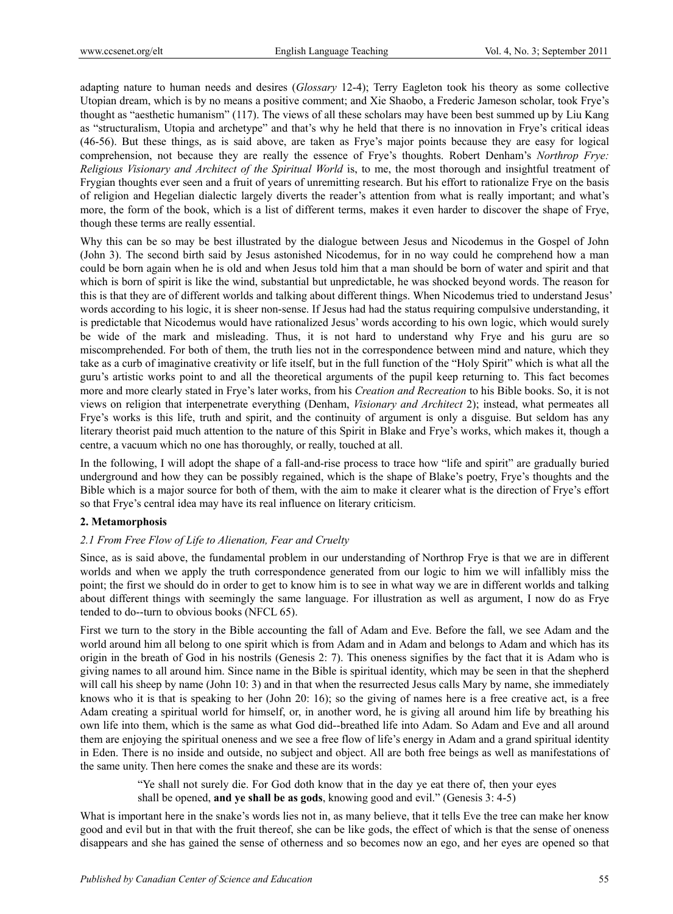adapting nature to human needs and desires (*Glossary* 12-4); Terry Eagleton took his theory as some collective Utopian dream, which is by no means a positive comment; and Xie Shaobo, a Frederic Jameson scholar, took Frye's thought as "aesthetic humanism" (117). The views of all these scholars may have been best summed up by Liu Kang as "structuralism, Utopia and archetype" and that's why he held that there is no innovation in Frye's critical ideas (46-56). But these things, as is said above, are taken as Frye's major points because they are easy for logical comprehension, not because they are really the essence of Frye's thoughts. Robert Denham's *Northrop Frye: Religious Visionary and Architect of the Spiritual World* is, to me, the most thorough and insightful treatment of Frygian thoughts ever seen and a fruit of years of unremitting research. But his effort to rationalize Frye on the basis of religion and Hegelian dialectic largely diverts the reader's attention from what is really important; and what's more, the form of the book, which is a list of different terms, makes it even harder to discover the shape of Frye, though these terms are really essential.

Why this can be so may be best illustrated by the dialogue between Jesus and Nicodemus in the Gospel of John (John 3). The second birth said by Jesus astonished Nicodemus, for in no way could he comprehend how a man could be born again when he is old and when Jesus told him that a man should be born of water and spirit and that which is born of spirit is like the wind, substantial but unpredictable, he was shocked beyond words. The reason for this is that they are of different worlds and talking about different things. When Nicodemus tried to understand Jesus' words according to his logic, it is sheer non-sense. If Jesus had had the status requiring compulsive understanding, it is predictable that Nicodemus would have rationalized Jesus' words according to his own logic, which would surely be wide of the mark and misleading. Thus, it is not hard to understand why Frye and his guru are so miscomprehended. For both of them, the truth lies not in the correspondence between mind and nature, which they take as a curb of imaginative creativity or life itself, but in the full function of the "Holy Spirit" which is what all the guru's artistic works point to and all the theoretical arguments of the pupil keep returning to. This fact becomes more and more clearly stated in Frye's later works, from his *Creation and Recreation* to his Bible books. So, it is not views on religion that interpenetrate everything (Denham, *Visionary and Architect* 2); instead, what permeates all Frye's works is this life, truth and spirit, and the continuity of argument is only a disguise. But seldom has any literary theorist paid much attention to the nature of this Spirit in Blake and Frye's works, which makes it, though a centre, a vacuum which no one has thoroughly, or really, touched at all.

In the following, I will adopt the shape of a fall-and-rise process to trace how "life and spirit" are gradually buried underground and how they can be possibly regained, which is the shape of Blake's poetry, Frye's thoughts and the Bible which is a major source for both of them, with the aim to make it clearer what is the direction of Frye's effort so that Frye's central idea may have its real influence on literary criticism.

## **2. Metamorphosis**

## *2.1 From Free Flow of Life to Alienation, Fear and Cruelty*

Since, as is said above, the fundamental problem in our understanding of Northrop Frye is that we are in different worlds and when we apply the truth correspondence generated from our logic to him we will infallibly miss the point; the first we should do in order to get to know him is to see in what way we are in different worlds and talking about different things with seemingly the same language. For illustration as well as argument, I now do as Frye tended to do--turn to obvious books (NFCL 65).

First we turn to the story in the Bible accounting the fall of Adam and Eve. Before the fall, we see Adam and the world around him all belong to one spirit which is from Adam and in Adam and belongs to Adam and which has its origin in the breath of God in his nostrils (Genesis 2: 7). This oneness signifies by the fact that it is Adam who is giving names to all around him. Since name in the Bible is spiritual identity, which may be seen in that the shepherd will call his sheep by name (John 10: 3) and in that when the resurrected Jesus calls Mary by name, she immediately knows who it is that is speaking to her (John 20: 16); so the giving of names here is a free creative act, is a free Adam creating a spiritual world for himself, or, in another word, he is giving all around him life by breathing his own life into them, which is the same as what God did--breathed life into Adam. So Adam and Eve and all around them are enjoying the spiritual oneness and we see a free flow of life's energy in Adam and a grand spiritual identity in Eden. There is no inside and outside, no subject and object. All are both free beings as well as manifestations of the same unity. Then here comes the snake and these are its words:

> "Ye shall not surely die. For God doth know that in the day ye eat there of, then your eyes shall be opened, **and ye shall be as gods**, knowing good and evil." (Genesis 3: 4-5)

What is important here in the snake's words lies not in, as many believe, that it tells Eve the tree can make her know good and evil but in that with the fruit thereof, she can be like gods, the effect of which is that the sense of oneness disappears and she has gained the sense of otherness and so becomes now an ego, and her eyes are opened so that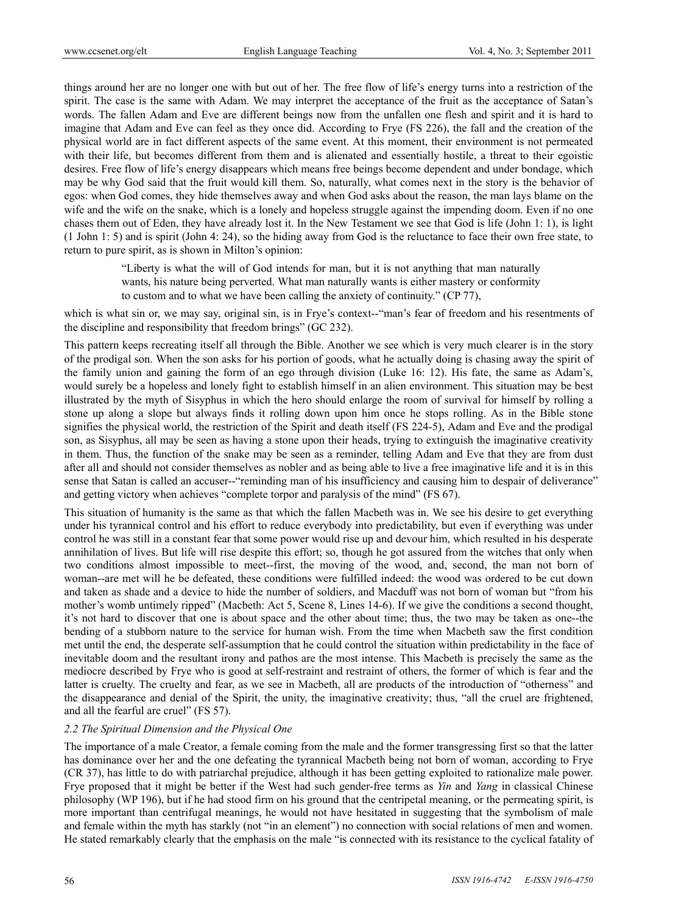things around her are no longer one with but out of her. The free flow of life's energy turns into a restriction of the spirit. The case is the same with Adam. We may interpret the acceptance of the fruit as the acceptance of Satan's words. The fallen Adam and Eve are different beings now from the unfallen one flesh and spirit and it is hard to imagine that Adam and Eve can feel as they once did. According to Frye (FS 226), the fall and the creation of the physical world are in fact different aspects of the same event. At this moment, their environment is not permeated with their life, but becomes different from them and is alienated and essentially hostile, a threat to their egoistic desires. Free flow of life's energy disappears which means free beings become dependent and under bondage, which may be why God said that the fruit would kill them. So, naturally, what comes next in the story is the behavior of egos: when God comes, they hide themselves away and when God asks about the reason, the man lays blame on the wife and the wife on the snake, which is a lonely and hopeless struggle against the impending doom. Even if no one chases them out of Eden, they have already lost it. In the New Testament we see that God is life (John 1: 1), is light (1 John 1: 5) and is spirit (John 4: 24), so the hiding away from God is the reluctance to face their own free state, to return to pure spirit, as is shown in Milton's opinion:

> "Liberty is what the will of God intends for man, but it is not anything that man naturally wants, his nature being perverted. What man naturally wants is either mastery or conformity to custom and to what we have been calling the anxiety of continuity." (CP 77),

which is what sin or, we may say, original sin, is in Frye's context--"man's fear of freedom and his resentments of the discipline and responsibility that freedom brings" (GC 232).

This pattern keeps recreating itself all through the Bible. Another we see which is very much clearer is in the story of the prodigal son. When the son asks for his portion of goods, what he actually doing is chasing away the spirit of the family union and gaining the form of an ego through division (Luke 16: 12). His fate, the same as Adam's, would surely be a hopeless and lonely fight to establish himself in an alien environment. This situation may be best illustrated by the myth of Sisyphus in which the hero should enlarge the room of survival for himself by rolling a stone up along a slope but always finds it rolling down upon him once he stops rolling. As in the Bible stone signifies the physical world, the restriction of the Spirit and death itself (FS 224-5), Adam and Eve and the prodigal son, as Sisyphus, all may be seen as having a stone upon their heads, trying to extinguish the imaginative creativity in them. Thus, the function of the snake may be seen as a reminder, telling Adam and Eve that they are from dust after all and should not consider themselves as nobler and as being able to live a free imaginative life and it is in this sense that Satan is called an accuser--"reminding man of his insufficiency and causing him to despair of deliverance" and getting victory when achieves "complete torpor and paralysis of the mind" (FS 67).

This situation of humanity is the same as that which the fallen Macbeth was in. We see his desire to get everything under his tyrannical control and his effort to reduce everybody into predictability, but even if everything was under control he was still in a constant fear that some power would rise up and devour him, which resulted in his desperate annihilation of lives. But life will rise despite this effort; so, though he got assured from the witches that only when two conditions almost impossible to meet--first, the moving of the wood, and, second, the man not born of woman--are met will he be defeated, these conditions were fulfilled indeed: the wood was ordered to be cut down and taken as shade and a device to hide the number of soldiers, and Macduff was not born of woman but "from his mother's womb untimely ripped" (Macbeth: Act 5, Scene 8, Lines 14-6). If we give the conditions a second thought, it's not hard to discover that one is about space and the other about time; thus, the two may be taken as one--the bending of a stubborn nature to the service for human wish. From the time when Macbeth saw the first condition met until the end, the desperate self-assumption that he could control the situation within predictability in the face of inevitable doom and the resultant irony and pathos are the most intense. This Macbeth is precisely the same as the mediocre described by Frye who is good at self-restraint and restraint of others, the former of which is fear and the latter is cruelty. The cruelty and fear, as we see in Macbeth, all are products of the introduction of "otherness" and the disappearance and denial of the Spirit, the unity, the imaginative creativity; thus, "all the cruel are frightened, and all the fearful are cruel" (FS 57).

## *2.2 The Spiritual Dimension and the Physical One*

The importance of a male Creator, a female coming from the male and the former transgressing first so that the latter has dominance over her and the one defeating the tyrannical Macbeth being not born of woman, according to Frye (CR 37), has little to do with patriarchal prejudice, although it has been getting exploited to rationalize male power. Frye proposed that it might be better if the West had such gender-free terms as *Yin* and *Yang* in classical Chinese philosophy (WP 196), but if he had stood firm on his ground that the centripetal meaning, or the permeating spirit, is more important than centrifugal meanings, he would not have hesitated in suggesting that the symbolism of male and female within the myth has starkly (not "in an element") no connection with social relations of men and women. He stated remarkably clearly that the emphasis on the male "is connected with its resistance to the cyclical fatality of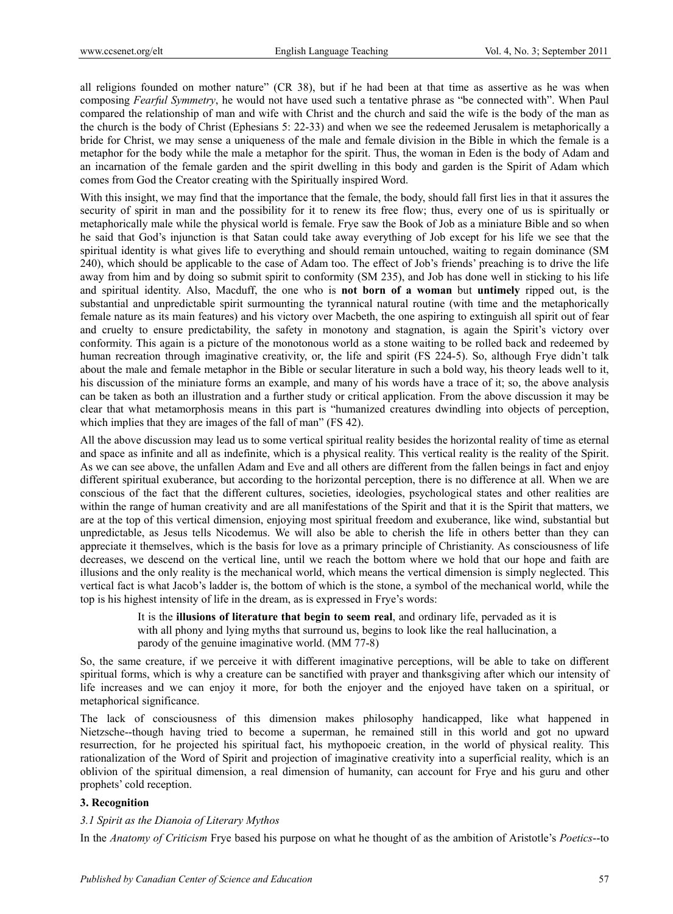all religions founded on mother nature" (CR 38), but if he had been at that time as assertive as he was when composing *Fearful Symmetry*, he would not have used such a tentative phrase as "be connected with". When Paul compared the relationship of man and wife with Christ and the church and said the wife is the body of the man as the church is the body of Christ (Ephesians 5: 22-33) and when we see the redeemed Jerusalem is metaphorically a bride for Christ, we may sense a uniqueness of the male and female division in the Bible in which the female is a metaphor for the body while the male a metaphor for the spirit. Thus, the woman in Eden is the body of Adam and an incarnation of the female garden and the spirit dwelling in this body and garden is the Spirit of Adam which comes from God the Creator creating with the Spiritually inspired Word.

With this insight, we may find that the importance that the female, the body, should fall first lies in that it assures the security of spirit in man and the possibility for it to renew its free flow; thus, every one of us is spiritually or metaphorically male while the physical world is female. Frye saw the Book of Job as a miniature Bible and so when he said that God's injunction is that Satan could take away everything of Job except for his life we see that the spiritual identity is what gives life to everything and should remain untouched, waiting to regain dominance (SM 240), which should be applicable to the case of Adam too. The effect of Job's friends' preaching is to drive the life away from him and by doing so submit spirit to conformity (SM 235), and Job has done well in sticking to his life and spiritual identity. Also, Macduff, the one who is **not born of a woman** but **untimely** ripped out, is the substantial and unpredictable spirit surmounting the tyrannical natural routine (with time and the metaphorically female nature as its main features) and his victory over Macbeth, the one aspiring to extinguish all spirit out of fear and cruelty to ensure predictability, the safety in monotony and stagnation, is again the Spirit's victory over conformity. This again is a picture of the monotonous world as a stone waiting to be rolled back and redeemed by human recreation through imaginative creativity, or, the life and spirit (FS 224-5). So, although Frye didn't talk about the male and female metaphor in the Bible or secular literature in such a bold way, his theory leads well to it, his discussion of the miniature forms an example, and many of his words have a trace of it; so, the above analysis can be taken as both an illustration and a further study or critical application. From the above discussion it may be clear that what metamorphosis means in this part is "humanized creatures dwindling into objects of perception, which implies that they are images of the fall of man" (FS 42).

All the above discussion may lead us to some vertical spiritual reality besides the horizontal reality of time as eternal and space as infinite and all as indefinite, which is a physical reality. This vertical reality is the reality of the Spirit. As we can see above, the unfallen Adam and Eve and all others are different from the fallen beings in fact and enjoy different spiritual exuberance, but according to the horizontal perception, there is no difference at all. When we are conscious of the fact that the different cultures, societies, ideologies, psychological states and other realities are within the range of human creativity and are all manifestations of the Spirit and that it is the Spirit that matters, we are at the top of this vertical dimension, enjoying most spiritual freedom and exuberance, like wind, substantial but unpredictable, as Jesus tells Nicodemus. We will also be able to cherish the life in others better than they can appreciate it themselves, which is the basis for love as a primary principle of Christianity. As consciousness of life decreases, we descend on the vertical line, until we reach the bottom where we hold that our hope and faith are illusions and the only reality is the mechanical world, which means the vertical dimension is simply neglected. This vertical fact is what Jacob's ladder is, the bottom of which is the stone, a symbol of the mechanical world, while the top is his highest intensity of life in the dream, as is expressed in Frye's words:

> It is the **illusions of literature that begin to seem real**, and ordinary life, pervaded as it is with all phony and lying myths that surround us, begins to look like the real hallucination, a parody of the genuine imaginative world. (MM 77-8)

So, the same creature, if we perceive it with different imaginative perceptions, will be able to take on different spiritual forms, which is why a creature can be sanctified with prayer and thanksgiving after which our intensity of life increases and we can enjoy it more, for both the enjoyer and the enjoyed have taken on a spiritual, or metaphorical significance.

The lack of consciousness of this dimension makes philosophy handicapped, like what happened in Nietzsche--though having tried to become a superman, he remained still in this world and got no upward resurrection, for he projected his spiritual fact, his mythopoeic creation, in the world of physical reality. This rationalization of the Word of Spirit and projection of imaginative creativity into a superficial reality, which is an oblivion of the spiritual dimension, a real dimension of humanity, can account for Frye and his guru and other prophets' cold reception.

## **3. Recognition**

## *3.1 Spirit as the Dianoia of Literary Mythos*

In the *Anatomy of Criticism* Frye based his purpose on what he thought of as the ambition of Aristotle's *Poetics*--to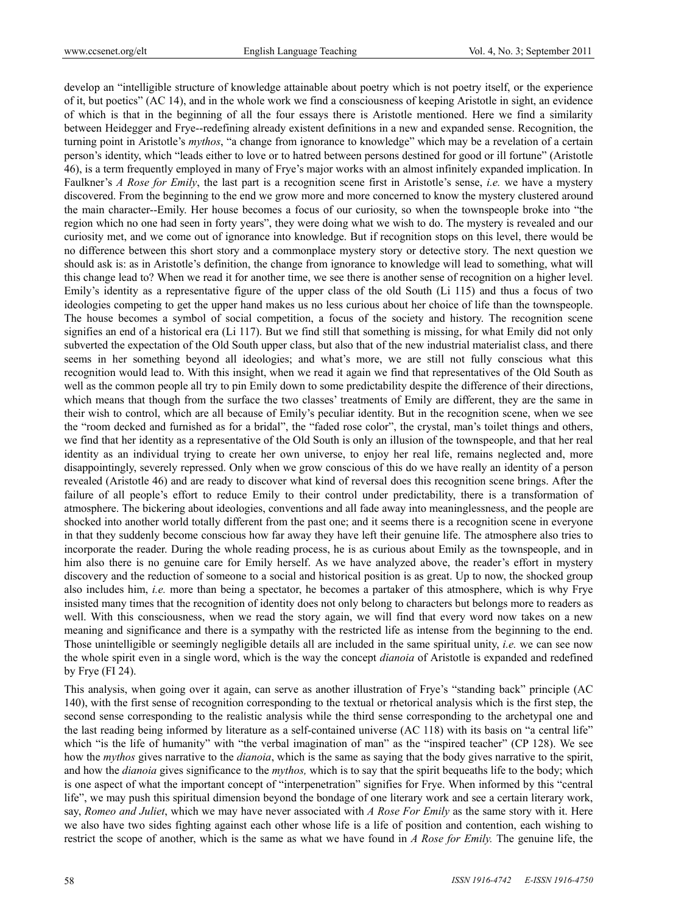develop an "intelligible structure of knowledge attainable about poetry which is not poetry itself, or the experience of it, but poetics" (AC 14), and in the whole work we find a consciousness of keeping Aristotle in sight, an evidence of which is that in the beginning of all the four essays there is Aristotle mentioned. Here we find a similarity between Heidegger and Frye--redefining already existent definitions in a new and expanded sense. Recognition, the turning point in Aristotle's *mythos*, "a change from ignorance to knowledge" which may be a revelation of a certain person's identity, which "leads either to love or to hatred between persons destined for good or ill fortune" (Aristotle 46), is a term frequently employed in many of Frye's major works with an almost infinitely expanded implication. In Faulkner's *A Rose for Emily*, the last part is a recognition scene first in Aristotle's sense, *i.e.* we have a mystery discovered. From the beginning to the end we grow more and more concerned to know the mystery clustered around the main character--Emily. Her house becomes a focus of our curiosity, so when the townspeople broke into "the region which no one had seen in forty years", they were doing what we wish to do. The mystery is revealed and our curiosity met, and we come out of ignorance into knowledge. But if recognition stops on this level, there would be no difference between this short story and a commonplace mystery story or detective story. The next question we should ask is: as in Aristotle's definition, the change from ignorance to knowledge will lead to something, what will this change lead to? When we read it for another time, we see there is another sense of recognition on a higher level. Emily's identity as a representative figure of the upper class of the old South (Li 115) and thus a focus of two ideologies competing to get the upper hand makes us no less curious about her choice of life than the townspeople. The house becomes a symbol of social competition, a focus of the society and history. The recognition scene signifies an end of a historical era (Li 117). But we find still that something is missing, for what Emily did not only subverted the expectation of the Old South upper class, but also that of the new industrial materialist class, and there seems in her something beyond all ideologies; and what's more, we are still not fully conscious what this recognition would lead to. With this insight, when we read it again we find that representatives of the Old South as well as the common people all try to pin Emily down to some predictability despite the difference of their directions, which means that though from the surface the two classes' treatments of Emily are different, they are the same in their wish to control, which are all because of Emily's peculiar identity. But in the recognition scene, when we see the "room decked and furnished as for a bridal", the "faded rose color", the crystal, man's toilet things and others, we find that her identity as a representative of the Old South is only an illusion of the townspeople, and that her real identity as an individual trying to create her own universe, to enjoy her real life, remains neglected and, more disappointingly, severely repressed. Only when we grow conscious of this do we have really an identity of a person revealed (Aristotle 46) and are ready to discover what kind of reversal does this recognition scene brings. After the failure of all people's effort to reduce Emily to their control under predictability, there is a transformation of atmosphere. The bickering about ideologies, conventions and all fade away into meaninglessness, and the people are shocked into another world totally different from the past one; and it seems there is a recognition scene in everyone in that they suddenly become conscious how far away they have left their genuine life. The atmosphere also tries to incorporate the reader. During the whole reading process, he is as curious about Emily as the townspeople, and in him also there is no genuine care for Emily herself. As we have analyzed above, the reader's effort in mystery discovery and the reduction of someone to a social and historical position is as great. Up to now, the shocked group also includes him, *i.e.* more than being a spectator, he becomes a partaker of this atmosphere, which is why Frye insisted many times that the recognition of identity does not only belong to characters but belongs more to readers as well. With this consciousness, when we read the story again, we will find that every word now takes on a new meaning and significance and there is a sympathy with the restricted life as intense from the beginning to the end. Those unintelligible or seemingly negligible details all are included in the same spiritual unity, *i.e.* we can see now the whole spirit even in a single word, which is the way the concept *dianoia* of Aristotle is expanded and redefined by Frye (FI 24).

This analysis, when going over it again, can serve as another illustration of Frye's "standing back" principle (AC 140), with the first sense of recognition corresponding to the textual or rhetorical analysis which is the first step, the second sense corresponding to the realistic analysis while the third sense corresponding to the archetypal one and the last reading being informed by literature as a self-contained universe (AC 118) with its basis on "a central life" which "is the life of humanity" with "the verbal imagination of man" as the "inspired teacher" (CP 128). We see how the *mythos* gives narrative to the *dianoia*, which is the same as saying that the body gives narrative to the spirit, and how the *dianoia* gives significance to the *mythos,* which is to say that the spirit bequeaths life to the body; which is one aspect of what the important concept of "interpenetration" signifies for Frye. When informed by this "central life", we may push this spiritual dimension beyond the bondage of one literary work and see a certain literary work, say, *Romeo and Juliet*, which we may have never associated with *A Rose For Emily* as the same story with it. Here we also have two sides fighting against each other whose life is a life of position and contention, each wishing to restrict the scope of another, which is the same as what we have found in *A Rose for Emily.* The genuine life, the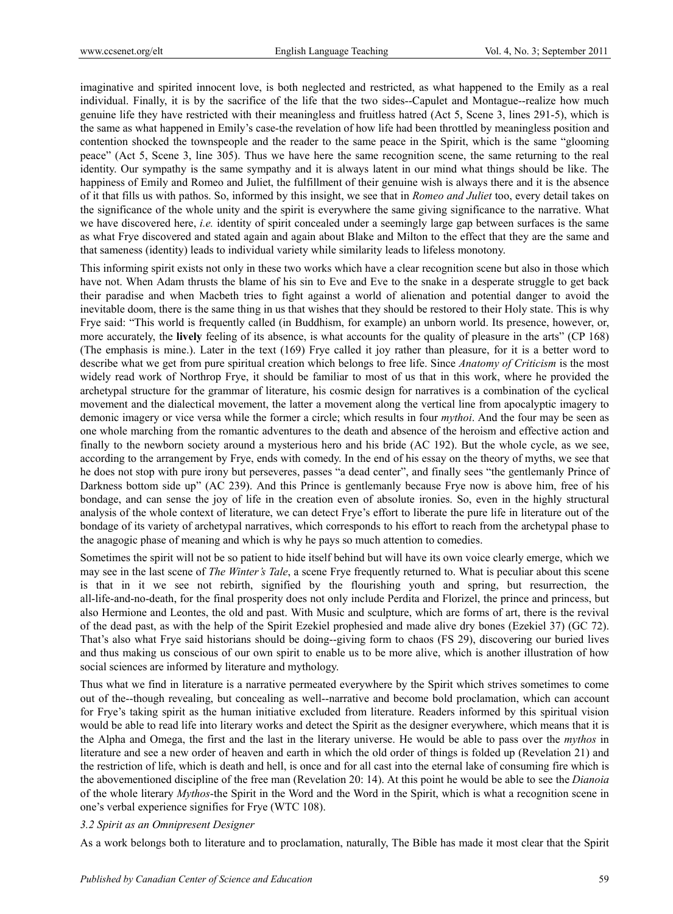imaginative and spirited innocent love, is both neglected and restricted, as what happened to the Emily as a real individual. Finally, it is by the sacrifice of the life that the two sides--Capulet and Montague--realize how much genuine life they have restricted with their meaningless and fruitless hatred (Act 5, Scene 3, lines 291-5), which is the same as what happened in Emily's case-the revelation of how life had been throttled by meaningless position and contention shocked the townspeople and the reader to the same peace in the Spirit, which is the same "glooming peace" (Act 5, Scene 3, line 305). Thus we have here the same recognition scene, the same returning to the real identity. Our sympathy is the same sympathy and it is always latent in our mind what things should be like. The happiness of Emily and Romeo and Juliet, the fulfillment of their genuine wish is always there and it is the absence of it that fills us with pathos. So, informed by this insight, we see that in *Romeo and Juliet* too, every detail takes on the significance of the whole unity and the spirit is everywhere the same giving significance to the narrative. What we have discovered here, *i.e.* identity of spirit concealed under a seemingly large gap between surfaces is the same as what Frye discovered and stated again and again about Blake and Milton to the effect that they are the same and that sameness (identity) leads to individual variety while similarity leads to lifeless monotony.

This informing spirit exists not only in these two works which have a clear recognition scene but also in those which have not. When Adam thrusts the blame of his sin to Eve and Eve to the snake in a desperate struggle to get back their paradise and when Macbeth tries to fight against a world of alienation and potential danger to avoid the inevitable doom, there is the same thing in us that wishes that they should be restored to their Holy state. This is why Frye said: "This world is frequently called (in Buddhism, for example) an unborn world. Its presence, however, or, more accurately, the **lively** feeling of its absence, is what accounts for the quality of pleasure in the arts" (CP 168) (The emphasis is mine.). Later in the text (169) Frye called it joy rather than pleasure, for it is a better word to describe what we get from pure spiritual creation which belongs to free life. Since *Anatomy of Criticism* is the most widely read work of Northrop Frye, it should be familiar to most of us that in this work, where he provided the archetypal structure for the grammar of literature, his cosmic design for narratives is a combination of the cyclical movement and the dialectical movement, the latter a movement along the vertical line from apocalyptic imagery to demonic imagery or vice versa while the former a circle; which results in four *mythoi*. And the four may be seen as one whole marching from the romantic adventures to the death and absence of the heroism and effective action and finally to the newborn society around a mysterious hero and his bride (AC 192). But the whole cycle, as we see, according to the arrangement by Frye, ends with comedy. In the end of his essay on the theory of myths, we see that he does not stop with pure irony but perseveres, passes "a dead center", and finally sees "the gentlemanly Prince of Darkness bottom side up" (AC 239). And this Prince is gentlemanly because Frye now is above him, free of his bondage, and can sense the joy of life in the creation even of absolute ironies. So, even in the highly structural analysis of the whole context of literature, we can detect Frye's effort to liberate the pure life in literature out of the bondage of its variety of archetypal narratives, which corresponds to his effort to reach from the archetypal phase to the anagogic phase of meaning and which is why he pays so much attention to comedies.

Sometimes the spirit will not be so patient to hide itself behind but will have its own voice clearly emerge, which we may see in the last scene of *The Winter's Tale*, a scene Frye frequently returned to. What is peculiar about this scene is that in it we see not rebirth, signified by the flourishing youth and spring, but resurrection, the all-life-and-no-death, for the final prosperity does not only include Perdita and Florizel, the prince and princess, but also Hermione and Leontes, the old and past. With Music and sculpture, which are forms of art, there is the revival of the dead past, as with the help of the Spirit Ezekiel prophesied and made alive dry bones (Ezekiel 37) (GC 72). That's also what Frye said historians should be doing--giving form to chaos (FS 29), discovering our buried lives and thus making us conscious of our own spirit to enable us to be more alive, which is another illustration of how social sciences are informed by literature and mythology.

Thus what we find in literature is a narrative permeated everywhere by the Spirit which strives sometimes to come out of the--though revealing, but concealing as well--narrative and become bold proclamation, which can account for Frye's taking spirit as the human initiative excluded from literature. Readers informed by this spiritual vision would be able to read life into literary works and detect the Spirit as the designer everywhere, which means that it is the Alpha and Omega, the first and the last in the literary universe. He would be able to pass over the *mythos* in literature and see a new order of heaven and earth in which the old order of things is folded up (Revelation 21) and the restriction of life, which is death and hell, is once and for all cast into the eternal lake of consuming fire which is the abovementioned discipline of the free man (Revelation 20: 14). At this point he would be able to see the *Dianoia* of the whole literary *Mythos*-the Spirit in the Word and the Word in the Spirit, which is what a recognition scene in one's verbal experience signifies for Frye (WTC 108).

## *3.2 Spirit as an Omnipresent Designer*

As a work belongs both to literature and to proclamation, naturally, The Bible has made it most clear that the Spirit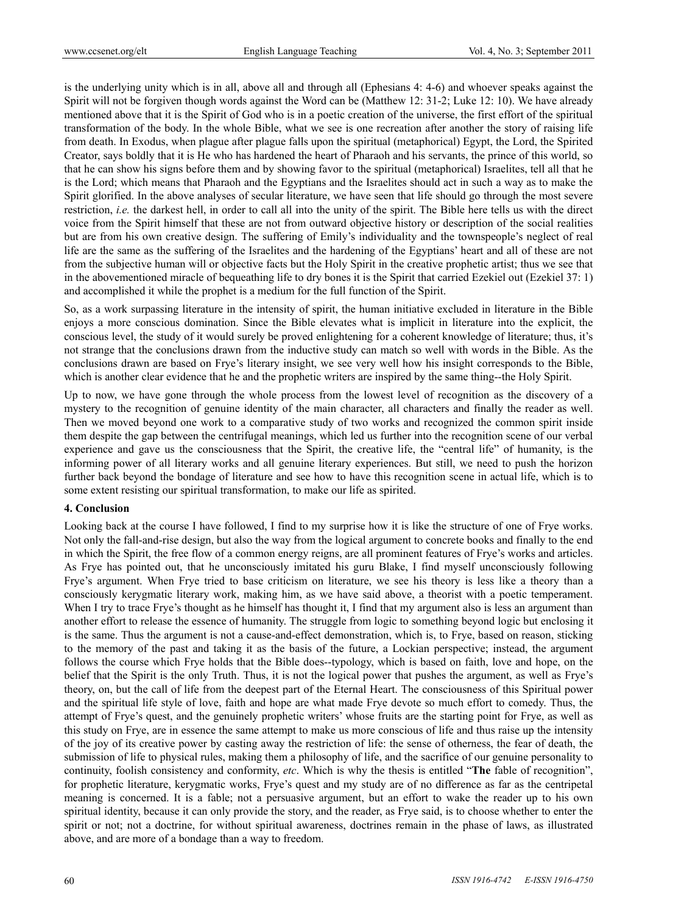is the underlying unity which is in all, above all and through all (Ephesians 4: 4-6) and whoever speaks against the Spirit will not be forgiven though words against the Word can be (Matthew 12: 31-2; Luke 12: 10). We have already mentioned above that it is the Spirit of God who is in a poetic creation of the universe, the first effort of the spiritual transformation of the body. In the whole Bible, what we see is one recreation after another the story of raising life from death. In Exodus, when plague after plague falls upon the spiritual (metaphorical) Egypt, the Lord, the Spirited Creator, says boldly that it is He who has hardened the heart of Pharaoh and his servants, the prince of this world, so that he can show his signs before them and by showing favor to the spiritual (metaphorical) Israelites, tell all that he is the Lord; which means that Pharaoh and the Egyptians and the Israelites should act in such a way as to make the Spirit glorified. In the above analyses of secular literature, we have seen that life should go through the most severe restriction, *i.e.* the darkest hell, in order to call all into the unity of the spirit. The Bible here tells us with the direct voice from the Spirit himself that these are not from outward objective history or description of the social realities but are from his own creative design. The suffering of Emily's individuality and the townspeople's neglect of real life are the same as the suffering of the Israelites and the hardening of the Egyptians' heart and all of these are not from the subjective human will or objective facts but the Holy Spirit in the creative prophetic artist; thus we see that in the abovementioned miracle of bequeathing life to dry bones it is the Spirit that carried Ezekiel out (Ezekiel 37: 1) and accomplished it while the prophet is a medium for the full function of the Spirit.

So, as a work surpassing literature in the intensity of spirit, the human initiative excluded in literature in the Bible enjoys a more conscious domination. Since the Bible elevates what is implicit in literature into the explicit, the conscious level, the study of it would surely be proved enlightening for a coherent knowledge of literature; thus, it's not strange that the conclusions drawn from the inductive study can match so well with words in the Bible. As the conclusions drawn are based on Frye's literary insight, we see very well how his insight corresponds to the Bible, which is another clear evidence that he and the prophetic writers are inspired by the same thing--the Holy Spirit.

Up to now, we have gone through the whole process from the lowest level of recognition as the discovery of a mystery to the recognition of genuine identity of the main character, all characters and finally the reader as well. Then we moved beyond one work to a comparative study of two works and recognized the common spirit inside them despite the gap between the centrifugal meanings, which led us further into the recognition scene of our verbal experience and gave us the consciousness that the Spirit, the creative life, the "central life" of humanity, is the informing power of all literary works and all genuine literary experiences. But still, we need to push the horizon further back beyond the bondage of literature and see how to have this recognition scene in actual life, which is to some extent resisting our spiritual transformation, to make our life as spirited.

#### **4. Conclusion**

Looking back at the course I have followed, I find to my surprise how it is like the structure of one of Frye works. Not only the fall-and-rise design, but also the way from the logical argument to concrete books and finally to the end in which the Spirit, the free flow of a common energy reigns, are all prominent features of Frye's works and articles. As Frye has pointed out, that he unconsciously imitated his guru Blake, I find myself unconsciously following Frye's argument. When Frye tried to base criticism on literature, we see his theory is less like a theory than a consciously kerygmatic literary work, making him, as we have said above, a theorist with a poetic temperament. When I try to trace Frye's thought as he himself has thought it, I find that my argument also is less an argument than another effort to release the essence of humanity. The struggle from logic to something beyond logic but enclosing it is the same. Thus the argument is not a cause-and-effect demonstration, which is, to Frye, based on reason, sticking to the memory of the past and taking it as the basis of the future, a Lockian perspective; instead, the argument follows the course which Frye holds that the Bible does--typology, which is based on faith, love and hope, on the belief that the Spirit is the only Truth. Thus, it is not the logical power that pushes the argument, as well as Frye's theory, on, but the call of life from the deepest part of the Eternal Heart. The consciousness of this Spiritual power and the spiritual life style of love, faith and hope are what made Frye devote so much effort to comedy. Thus, the attempt of Frye's quest, and the genuinely prophetic writers' whose fruits are the starting point for Frye, as well as this study on Frye, are in essence the same attempt to make us more conscious of life and thus raise up the intensity of the joy of its creative power by casting away the restriction of life: the sense of otherness, the fear of death, the submission of life to physical rules, making them a philosophy of life, and the sacrifice of our genuine personality to continuity, foolish consistency and conformity, *etc*. Which is why the thesis is entitled "**The** fable of recognition", for prophetic literature, kerygmatic works, Frye's quest and my study are of no difference as far as the centripetal meaning is concerned. It is a fable; not a persuasive argument, but an effort to wake the reader up to his own spiritual identity, because it can only provide the story, and the reader, as Frye said, is to choose whether to enter the spirit or not; not a doctrine, for without spiritual awareness, doctrines remain in the phase of laws, as illustrated above, and are more of a bondage than a way to freedom.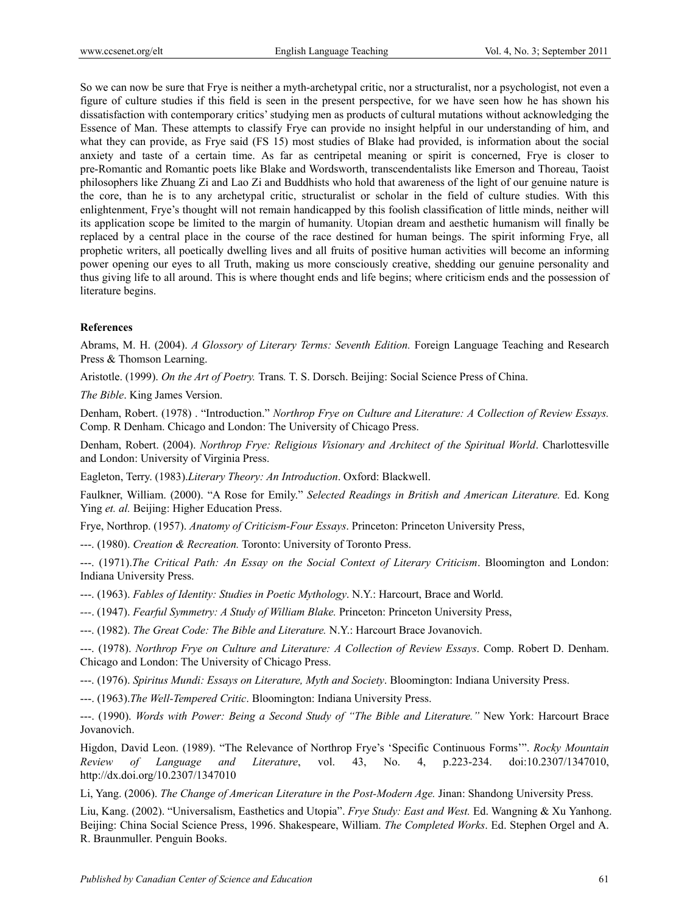So we can now be sure that Frye is neither a myth-archetypal critic, nor a structuralist, nor a psychologist, not even a figure of culture studies if this field is seen in the present perspective, for we have seen how he has shown his dissatisfaction with contemporary critics' studying men as products of cultural mutations without acknowledging the Essence of Man. These attempts to classify Frye can provide no insight helpful in our understanding of him, and what they can provide, as Frye said (FS 15) most studies of Blake had provided, is information about the social anxiety and taste of a certain time. As far as centripetal meaning or spirit is concerned, Frye is closer to pre-Romantic and Romantic poets like Blake and Wordsworth, transcendentalists like Emerson and Thoreau, Taoist philosophers like Zhuang Zi and Lao Zi and Buddhists who hold that awareness of the light of our genuine nature is the core, than he is to any archetypal critic, structuralist or scholar in the field of culture studies. With this enlightenment, Frye's thought will not remain handicapped by this foolish classification of little minds, neither will its application scope be limited to the margin of humanity. Utopian dream and aesthetic humanism will finally be replaced by a central place in the course of the race destined for human beings. The spirit informing Frye, all prophetic writers, all poetically dwelling lives and all fruits of positive human activities will become an informing power opening our eyes to all Truth, making us more consciously creative, shedding our genuine personality and thus giving life to all around. This is where thought ends and life begins; where criticism ends and the possession of literature begins.

## **References**

Abrams, M. H. (2004). *A Glossory of Literary Terms: Seventh Edition.* Foreign Language Teaching and Research Press & Thomson Learning.

Aristotle. (1999). *On the Art of Poetry.* Trans*.* T. S. Dorsch. Beijing: Social Science Press of China.

*The Bible*. King James Version.

Denham, Robert. (1978) . "Introduction." *Northrop Frye on Culture and Literature: A Collection of Review Essays.*  Comp. R Denham. Chicago and London: The University of Chicago Press.

Denham, Robert. (2004). *Northrop Frye: Religious Visionary and Architect of the Spiritual World*. Charlottesville and London: University of Virginia Press.

Eagleton, Terry. (1983).*Literary Theory: An Introduction*. Oxford: Blackwell.

Faulkner, William. (2000). "A Rose for Emily." *Selected Readings in British and American Literature.* Ed. Kong Ying *et. al.* Beijing: Higher Education Press.

Frye, Northrop. (1957). *Anatomy of Criticism-Four Essays*. Princeton: Princeton University Press,

---. (1980). *Creation & Recreation.* Toronto: University of Toronto Press.

---. (1971).*The Critical Path: An Essay on the Social Context of Literary Criticism*. Bloomington and London: Indiana University Press.

---. (1963). *Fables of Identity: Studies in Poetic Mythology*. N.Y.: Harcourt, Brace and World.

*---*. (1947). *Fearful Symmetry: A Study of William Blake.* Princeton: Princeton University Press,

---. (1982). *The Great Code: The Bible and Literature.* N.Y.: Harcourt Brace Jovanovich.

---. (1978). *Northrop Frye on Culture and Literature: A Collection of Review Essays*. Comp. Robert D. Denham. Chicago and London: The University of Chicago Press.

---. (1976). *Spiritus Mundi: Essays on Literature, Myth and Society*. Bloomington: Indiana University Press.

---. (1963).*The Well-Tempered Critic*. Bloomington: Indiana University Press.

---. (1990). *Words with Power: Being a Second Study of "The Bible and Literature."* New York: Harcourt Brace Jovanovich.

Higdon, David Leon. (1989). "The Relevance of Northrop Frye's 'Specific Continuous Forms'". *Rocky Mountain Review of Language and Literature*, vol. 43, No. 4, p.223-234. doi:10.2307/1347010, http://dx.doi.org/10.2307/1347010

Li, Yang. (2006). *The Change of American Literature in the Post-Modern Age.* Jinan: Shandong University Press.

Liu, Kang. (2002). "Universalism, Easthetics and Utopia". *Frye Study: East and West.* Ed. Wangning & Xu Yanhong. Beijing: China Social Science Press, 1996. Shakespeare, William. *The Completed Works*. Ed. Stephen Orgel and A. R. Braunmuller. Penguin Books.